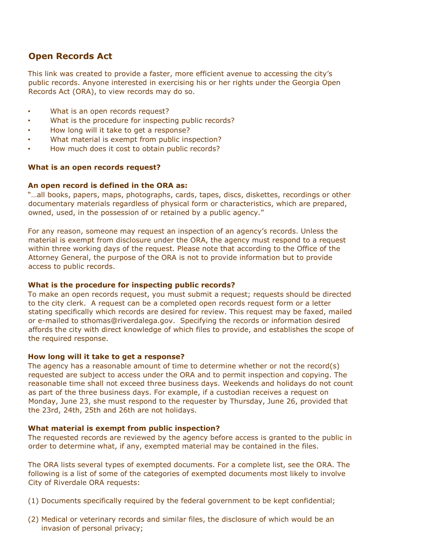# **Open Records Act**

This link was created to provide a faster, more efficient avenue to accessing the city's public records. Anyone interested in exercising his or her rights under the Georgia Open Records Act (ORA), to view records may do so.

- What is an open records request?
- What is the procedure for inspecting public records?
- How long will it take to get a response?
- What material is exempt from public inspection?
- How much does it cost to obtain public records?

## **What is an open records request?**

## **An open record is defined in the ORA as:**

"…all books, papers, maps, photographs, cards, tapes, discs, diskettes, recordings or other documentary materials regardless of physical form or characteristics, which are prepared, owned, used, in the possession of or retained by a public agency."

For any reason, someone may request an inspection of an agency's records. Unless the material is exempt from disclosure under the ORA, the agency must respond to a request within three working days of the request. Please note that according to the Office of the Attorney General, the purpose of the ORA is not to provide information but to provide access to public records.

## **What is the procedure for inspecting public records?**

To make an open records request, you must submit a request; requests should be directed to the city clerk. A request can be a completed open records request form or a letter stating specifically which records are desired for review. This request may be faxed, mailed or e-mailed to sthomas@riverdalega.gov. Specifying the records or information desired affords the city with direct knowledge of which files to provide, and establishes the scope of the required response.

## **How long will it take to get a response?**

The agency has a reasonable amount of time to determine whether or not the record(s) requested are subject to access under the ORA and to permit inspection and copying. The reasonable time shall not exceed three business days. Weekends and holidays do not count as part of the three business days. For example, if a custodian receives a request on Monday, June 23, she must respond to the requester by Thursday, June 26, provided that the 23rd, 24th, 25th and 26th are not holidays.

## **What material is exempt from public inspection?**

The requested records are reviewed by the agency before access is granted to the public in order to determine what, if any, exempted material may be contained in the files.

The ORA lists several types of exempted documents. For a complete list, see the ORA. The following is a list of some of the categories of exempted documents most likely to involve City of Riverdale ORA requests:

- (1) Documents specifically required by the federal government to be kept confidential;
- (2) Medical or veterinary records and similar files, the disclosure of which would be an invasion of personal privacy;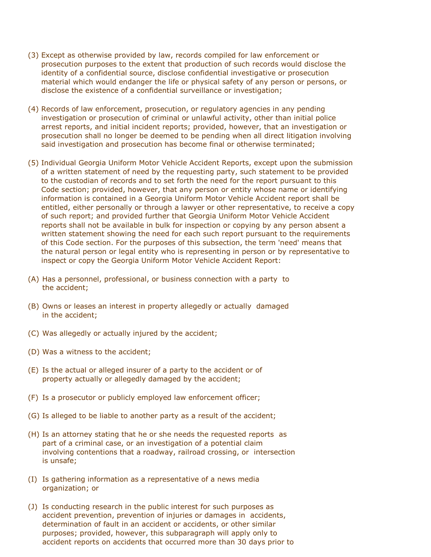- (3) Except as otherwise provided by law, records compiled for law enforcement or prosecution purposes to the extent that production of such records would disclose the identity of a confidential source, disclose confidential investigative or prosecution material which would endanger the life or physical safety of any person or persons, or disclose the existence of a confidential surveillance or investigation;
- (4) Records of law enforcement, prosecution, or regulatory agencies in any pending investigation or prosecution of criminal or unlawful activity, other than initial police arrest reports, and initial incident reports; provided, however, that an investigation or prosecution shall no longer be deemed to be pending when all direct litigation involving said investigation and prosecution has become final or otherwise terminated;
- (5) Individual Georgia Uniform Motor Vehicle Accident Reports, except upon the submission of a written statement of need by the requesting party, such statement to be provided to the custodian of records and to set forth the need for the report pursuant to this Code section; provided, however, that any person or entity whose name or identifying information is contained in a Georgia Uniform Motor Vehicle Accident report shall be entitled, either personally or through a lawyer or other representative, to receive a copy of such report; and provided further that Georgia Uniform Motor Vehicle Accident reports shall not be available in bulk for inspection or copying by any person absent a written statement showing the need for each such report pursuant to the requirements of this Code section. For the purposes of this subsection, the term 'need' means that the natural person or legal entity who is representing in person or by representative to inspect or copy the Georgia Uniform Motor Vehicle Accident Report:
- (A) Has a personnel, professional, or business connection with a party to the accident;
- (B) Owns or leases an interest in property allegedly or actually damaged in the accident;
- (C) Was allegedly or actually injured by the accident;
- (D) Was a witness to the accident;
- (E) Is the actual or alleged insurer of a party to the accident or of property actually or allegedly damaged by the accident;
- (F) Is a prosecutor or publicly employed law enforcement officer;
- (G) Is alleged to be liable to another party as a result of the accident;
- (H) Is an attorney stating that he or she needs the requested reports as part of a criminal case, or an investigation of a potential claim involving contentions that a roadway, railroad crossing, or intersection is unsafe;
- (I) Is gathering information as a representative of a news media organization; or
- (J) Is conducting research in the public interest for such purposes as accident prevention, prevention of injuries or damages in accidents, determination of fault in an accident or accidents, or other similar purposes; provided, however, this subparagraph will apply only to accident reports on accidents that occurred more than 30 days prior to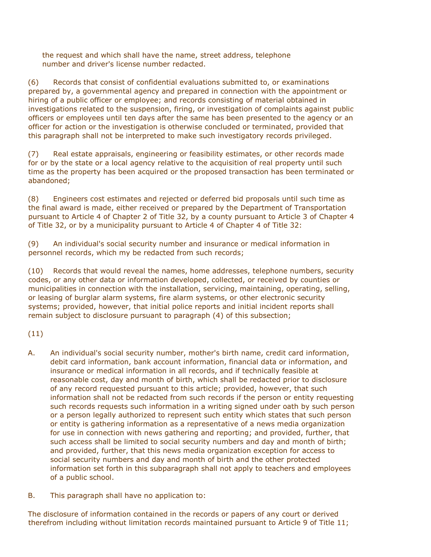the request and which shall have the name, street address, telephone number and driver's license number redacted.

(6) Records that consist of confidential evaluations submitted to, or examinations prepared by, a governmental agency and prepared in connection with the appointment or hiring of a public officer or employee; and records consisting of material obtained in investigations related to the suspension, firing, or investigation of complaints against public officers or employees until ten days after the same has been presented to the agency or an officer for action or the investigation is otherwise concluded or terminated, provided that this paragraph shall not be interpreted to make such investigatory records privileged.

(7) Real estate appraisals, engineering or feasibility estimates, or other records made for or by the state or a local agency relative to the acquisition of real property until such time as the property has been acquired or the proposed transaction has been terminated or abandoned;

(8) Engineers cost estimates and rejected or deferred bid proposals until such time as the final award is made, either received or prepared by the Department of Transportation pursuant to Article 4 of Chapter 2 of Title 32, by a county pursuant to Article 3 of Chapter 4 of Title 32, or by a municipality pursuant to Article 4 of Chapter 4 of Title 32:

(9) An individual's social security number and insurance or medical information in personnel records, which my be redacted from such records;

(10) Records that would reveal the names, home addresses, telephone numbers, security codes, or any other data or information developed, collected, or received by counties or municipalities in connection with the installation, servicing, maintaining, operating, selling, or leasing of burglar alarm systems, fire alarm systems, or other electronic security systems; provided, however, that initial police reports and initial incident reports shall remain subject to disclosure pursuant to paragraph (4) of this subsection;

(11)

- A. An individual's social security number, mother's birth name, credit card information, debit card information, bank account information, financial data or information, and insurance or medical information in all records, and if technically feasible at reasonable cost, day and month of birth, which shall be redacted prior to disclosure of any record requested pursuant to this article; provided, however, that such information shall not be redacted from such records if the person or entity requesting such records requests such information in a writing signed under oath by such person or a person legally authorized to represent such entity which states that such person or entity is gathering information as a representative of a news media organization for use in connection with news gathering and reporting; and provided, further, that such access shall be limited to social security numbers and day and month of birth; and provided, further, that this news media organization exception for access to social security numbers and day and month of birth and the other protected information set forth in this subparagraph shall not apply to teachers and employees of a public school.
- B. This paragraph shall have no application to:

The disclosure of information contained in the records or papers of any court or derived therefrom including without limitation records maintained pursuant to Article 9 of Title 11;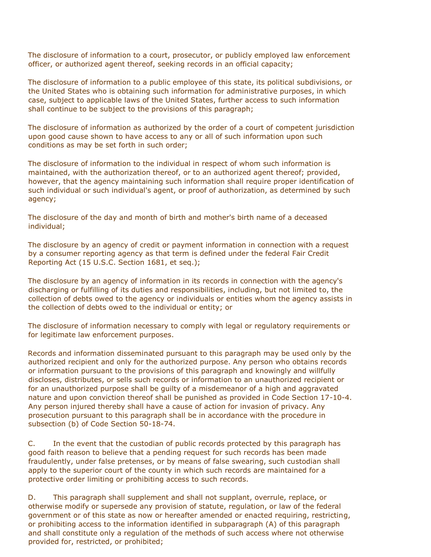The disclosure of information to a court, prosecutor, or publicly employed law enforcement officer, or authorized agent thereof, seeking records in an official capacity;

The disclosure of information to a public employee of this state, its political subdivisions, or the United States who is obtaining such information for administrative purposes, in which case, subject to applicable laws of the United States, further access to such information shall continue to be subject to the provisions of this paragraph;

The disclosure of information as authorized by the order of a court of competent jurisdiction upon good cause shown to have access to any or all of such information upon such conditions as may be set forth in such order;

The disclosure of information to the individual in respect of whom such information is maintained, with the authorization thereof, or to an authorized agent thereof; provided, however, that the agency maintaining such information shall require proper identification of such individual or such individual's agent, or proof of authorization, as determined by such agency;

The disclosure of the day and month of birth and mother's birth name of a deceased individual;

The disclosure by an agency of credit or payment information in connection with a request by a consumer reporting agency as that term is defined under the federal Fair Credit Reporting Act (15 U.S.C. Section 1681, et seq.);

The disclosure by an agency of information in its records in connection with the agency's discharging or fulfilling of its duties and responsibilities, including, but not limited to, the collection of debts owed to the agency or individuals or entities whom the agency assists in the collection of debts owed to the individual or entity; or

The disclosure of information necessary to comply with legal or regulatory requirements or for legitimate law enforcement purposes.

Records and information disseminated pursuant to this paragraph may be used only by the authorized recipient and only for the authorized purpose. Any person who obtains records or information pursuant to the provisions of this paragraph and knowingly and willfully discloses, distributes, or sells such records or information to an unauthorized recipient or for an unauthorized purpose shall be guilty of a misdemeanor of a high and aggravated nature and upon conviction thereof shall be punished as provided in Code Section 17-10-4. Any person injured thereby shall have a cause of action for invasion of privacy. Any prosecution pursuant to this paragraph shall be in accordance with the procedure in subsection (b) of Code Section 50-18-74.

C. In the event that the custodian of public records protected by this paragraph has good faith reason to believe that a pending request for such records has been made fraudulently, under false pretenses, or by means of false swearing, such custodian shall apply to the superior court of the county in which such records are maintained for a protective order limiting or prohibiting access to such records.

D. This paragraph shall supplement and shall not supplant, overrule, replace, or otherwise modify or supersede any provision of statute, regulation, or law of the federal government or of this state as now or hereafter amended or enacted requiring, restricting, or prohibiting access to the information identified in subparagraph (A) of this paragraph and shall constitute only a regulation of the methods of such access where not otherwise provided for, restricted, or prohibited;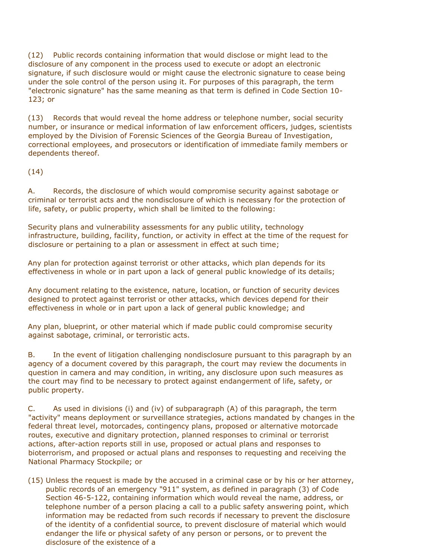(12) Public records containing information that would disclose or might lead to the disclosure of any component in the process used to execute or adopt an electronic signature, if such disclosure would or might cause the electronic signature to cease being under the sole control of the person using it. For purposes of this paragraph, the term "electronic signature" has the same meaning as that term is defined in Code Section 10- 123; or

(13) Records that would reveal the home address or telephone number, social security number, or insurance or medical information of law enforcement officers, judges, scientists employed by the Division of Forensic Sciences of the Georgia Bureau of Investigation, correctional employees, and prosecutors or identification of immediate family members or dependents thereof.

(14)

A. Records, the disclosure of which would compromise security against sabotage or criminal or terrorist acts and the nondisclosure of which is necessary for the protection of life, safety, or public property, which shall be limited to the following:

Security plans and vulnerability assessments for any public utility, technology infrastructure, building, facility, function, or activity in effect at the time of the request for disclosure or pertaining to a plan or assessment in effect at such time;

Any plan for protection against terrorist or other attacks, which plan depends for its effectiveness in whole or in part upon a lack of general public knowledge of its details;

Any document relating to the existence, nature, location, or function of security devices designed to protect against terrorist or other attacks, which devices depend for their effectiveness in whole or in part upon a lack of general public knowledge; and

Any plan, blueprint, or other material which if made public could compromise security against sabotage, criminal, or terroristic acts.

B. In the event of litigation challenging nondisclosure pursuant to this paragraph by an agency of a document covered by this paragraph, the court may review the documents in question in camera and may condition, in writing, any disclosure upon such measures as the court may find to be necessary to protect against endangerment of life, safety, or public property.

C. As used in divisions (i) and (iv) of subparagraph (A) of this paragraph, the term "activity" means deployment or surveillance strategies, actions mandated by changes in the federal threat level, motorcades, contingency plans, proposed or alternative motorcade routes, executive and dignitary protection, planned responses to criminal or terrorist actions, after-action reports still in use, proposed or actual plans and responses to bioterrorism, and proposed or actual plans and responses to requesting and receiving the National Pharmacy Stockpile; or

(15) Unless the request is made by the accused in a criminal case or by his or her attorney, public records of an emergency "911" system, as defined in paragraph (3) of Code Section 46-5-122, containing information which would reveal the name, address, or telephone number of a person placing a call to a public safety answering point, which information may be redacted from such records if necessary to prevent the disclosure of the identity of a confidential source, to prevent disclosure of material which would endanger the life or physical safety of any person or persons, or to prevent the disclosure of the existence of a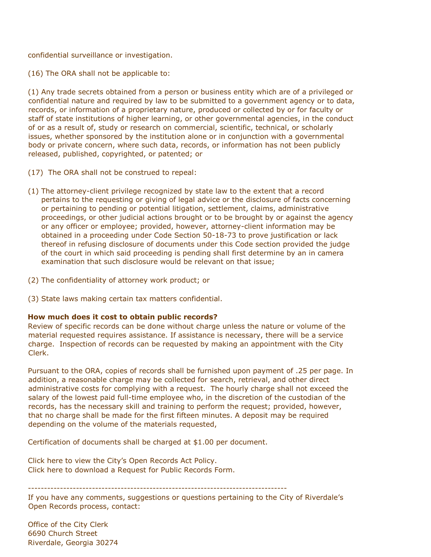confidential surveillance or investigation.

(16) The ORA shall not be applicable to:

(1) Any trade secrets obtained from a person or business entity which are of a privileged or confidential nature and required by law to be submitted to a government agency or to data, records, or information of a proprietary nature, produced or collected by or for faculty or staff of state institutions of higher learning, or other governmental agencies, in the conduct of or as a result of, study or research on commercial, scientific, technical, or scholarly issues, whether sponsored by the institution alone or in conjunction with a governmental body or private concern, where such data, records, or information has not been publicly released, published, copyrighted, or patented; or

- (17) The ORA shall not be construed to repeal:
- (1) The attorney-client privilege recognized by state law to the extent that a record pertains to the requesting or giving of legal advice or the disclosure of facts concerning or pertaining to pending or potential litigation, settlement, claims, administrative proceedings, or other judicial actions brought or to be brought by or against the agency or any officer or employee; provided, however, attorney-client information may be obtained in a proceeding under Code Section 50-18-73 to prove justification or lack thereof in refusing disclosure of documents under this Code section provided the judge of the court in which said proceeding is pending shall first determine by an in camera examination that such disclosure would be relevant on that issue;
- (2) The confidentiality of attorney work product; or
- (3) State laws making certain tax matters confidential.

## **How much does it cost to obtain public records?**

Review of specific records can be done without charge unless the nature or volume of the material requested requires assistance. If assistance is necessary, there will be a service charge. Inspection of records can be requested by making an appointment with the City Clerk.

Pursuant to the ORA, copies of records shall be furnished upon payment of .25 per page. In addition, a reasonable charge may be collected for search, retrieval, and other direct administrative costs for complying with a request. The hourly charge shall not exceed the salary of the lowest paid full-time employee who, in the discretion of the custodian of the records, has the necessary skill and training to perform the request; provided, however, that no charge shall be made for the first fifteen minutes. A deposit may be required depending on the volume of the materials requested,

Certification of documents shall be charged at \$1.00 per document.

Click here to view the City's Open Records Act Policy. Click here to download a Request for Public Records Form.

---------------------------------------------------------------------------------

If you have any comments, suggestions or questions pertaining to the City of Riverdale's Open Records process, contact:

Office of the City Clerk 6690 Church Street Riverdale, Georgia 30274